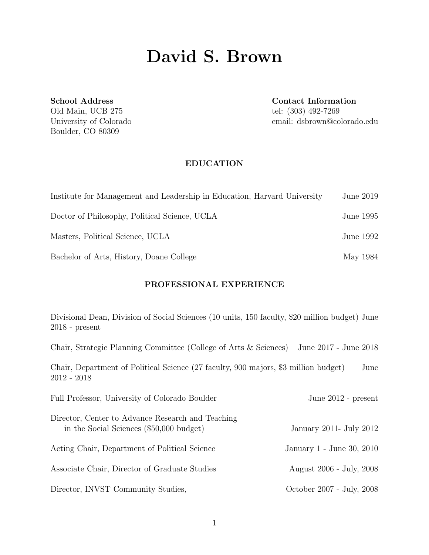# David S. Brown

School Address Old Main, UCB 275 University of Colorado Boulder, CO 80309

Contact Information tel: (303) 492-7269 email: dsbrown@colorado.edu

#### EDUCATION

| Institute for Management and Leadership in Education, Harvard University | June 2019 |
|--------------------------------------------------------------------------|-----------|
| Doctor of Philosophy, Political Science, UCLA                            | June 1995 |
| Masters, Political Science, UCLA                                         | June 1992 |
| Bachelor of Arts, History, Doane College                                 | May 1984  |

## PROFESSIONAL EXPERIENCE

| Divisional Dean, Division of Social Sciences (10 units, 150 faculty, \$20 million budget) June<br>$2018$ - present |                           |
|--------------------------------------------------------------------------------------------------------------------|---------------------------|
| Chair, Strategic Planning Committee (College of Arts $&$ Sciences)                                                 | June 2017 - June 2018     |
| Chair, Department of Political Science (27 faculty, 900 majors, \$3 million budget)<br>$2012 - 2018$               | June                      |
| Full Professor, University of Colorado Boulder                                                                     | June 2012 - present       |
| Director, Center to Advance Research and Teaching<br>in the Social Sciences (\$50,000 budget)                      | January 2011- July 2012   |
| Acting Chair, Department of Political Science                                                                      | January 1 - June 30, 2010 |
| Associate Chair, Director of Graduate Studies                                                                      | August 2006 - July, 2008  |
| Director, INVST Community Studies,                                                                                 | October 2007 - July, 2008 |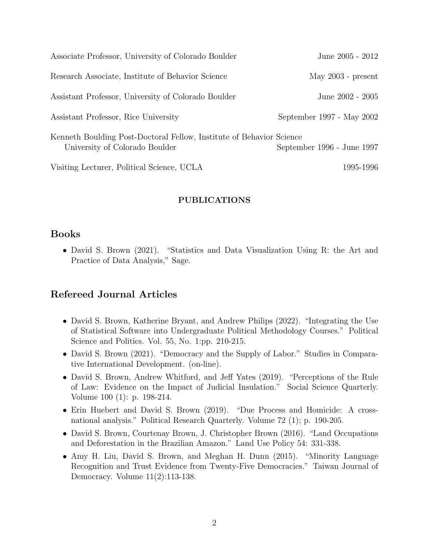| Associate Professor, University of Colorado Boulder                                                    | June 2005 - 2012           |
|--------------------------------------------------------------------------------------------------------|----------------------------|
| Research Associate, Institute of Behavior Science                                                      | May $2003$ - present       |
| Assistant Professor, University of Colorado Boulder                                                    | June 2002 - 2005           |
| Assistant Professor, Rice University                                                                   | September 1997 - May 2002  |
| Kenneth Boulding Post-Doctoral Fellow, Institute of Behavior Science<br>University of Colorado Boulder | September 1996 - June 1997 |
| Visiting Lecturer, Political Science, UCLA                                                             | 1995-1996                  |

#### PUBLICATIONS

## Books

• David S. Brown (2021). "Statistics and Data Visualization Using R: the Art and Practice of Data Analysis," Sage.

# Refereed Journal Articles

- David S. Brown, Katherine Bryant, and Andrew Philips (2022). "Integrating the Use of Statistical Software into Undergraduate Political Methodology Courses." Political Science and Politics. Vol. 55, No. 1:pp. 210-215.
- David S. Brown (2021). "Democracy and the Supply of Labor." Studies in Comparative International Development. (on-line).
- David S. Brown, Andrew Whitford, and Jeff Yates (2019). "Perceptions of the Rule of Law: Evidence on the Impact of Judicial Insulation." Social Science Quarterly. Volume 100 (1): p. 198-214.
- Erin Huebert and David S. Brown (2019). "Due Process and Homicide: A crossnational analysis." Political Research Quarterly. Volume 72 (1); p. 190-205.
- David S. Brown, Courtenay Brown, J. Christopher Brown (2016). "Land Occupations and Deforestation in the Brazilian Amazon." Land Use Policy 54: 331-338.
- Amy H. Liu, David S. Brown, and Meghan H. Dunn (2015). "Minority Language Recognition and Trust Evidence from Twenty-Five Democracies." Taiwan Journal of Democracy. Volume 11(2):113-138.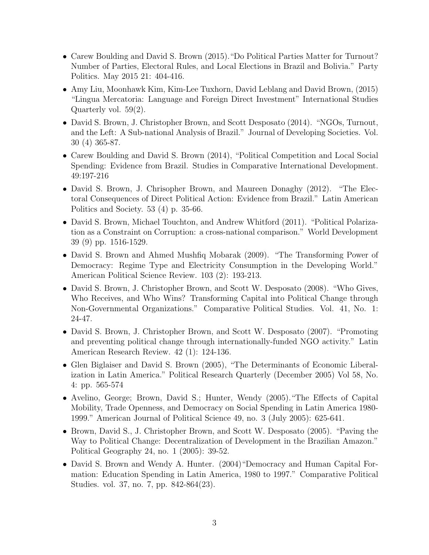- Carew Boulding and David S. Brown (2015). "Do Political Parties Matter for Turnout? Number of Parties, Electoral Rules, and Local Elections in Brazil and Bolivia." Party Politics. May 2015 21: 404-416.
- Amy Liu, Moonhawk Kim, Kim-Lee Tuxhorn, David Leblang and David Brown, (2015) "Lingua Mercatoria: Language and Foreign Direct Investment" International Studies Quarterly vol. 59(2).
- David S. Brown, J. Christopher Brown, and Scott Desposato (2014). "NGOs, Turnout, and the Left: A Sub-national Analysis of Brazil." Journal of Developing Societies. Vol. 30 (4) 365-87.
- Carew Boulding and David S. Brown (2014), "Political Competition and Local Social Spending: Evidence from Brazil. Studies in Comparative International Development. 49:197-216
- David S. Brown, J. Chrisopher Brown, and Maureen Donaghy (2012). "The Electoral Consequences of Direct Political Action: Evidence from Brazil." Latin American Politics and Society. 53 (4) p. 35-66.
- David S. Brown, Michael Touchton, and Andrew Whitford (2011). "Political Polarization as a Constraint on Corruption: a cross-national comparison." World Development 39 (9) pp. 1516-1529.
- David S. Brown and Ahmed Mushfiq Mobarak (2009). "The Transforming Power of Democracy: Regime Type and Electricity Consumption in the Developing World." American Political Science Review. 103 (2): 193-213.
- David S. Brown, J. Christopher Brown, and Scott W. Desposato (2008). "Who Gives, Who Receives, and Who Wins? Transforming Capital into Political Change through Non-Governmental Organizations." Comparative Political Studies. Vol. 41, No. 1: 24-47.
- David S. Brown, J. Christopher Brown, and Scott W. Desposato (2007). "Promoting and preventing political change through internationally-funded NGO activity." Latin American Research Review. 42 (1): 124-136.
- Glen Biglaiser and David S. Brown (2005), "The Determinants of Economic Liberalization in Latin America." Political Research Quarterly (December 2005) Vol 58, No. 4: pp. 565-574
- Avelino, George; Brown, David S.; Hunter, Wendy (2005)."The Effects of Capital Mobility, Trade Openness, and Democracy on Social Spending in Latin America 1980- 1999." American Journal of Political Science 49, no. 3 (July 2005): 625-641.
- Brown, David S., J. Christopher Brown, and Scott W. Desposato (2005). "Paving the Way to Political Change: Decentralization of Development in the Brazilian Amazon." Political Geography 24, no. 1 (2005): 39-52.
- David S. Brown and Wendy A. Hunter. (2004)"Democracy and Human Capital Formation: Education Spending in Latin America, 1980 to 1997." Comparative Political Studies. vol. 37, no. 7, pp. 842-864(23).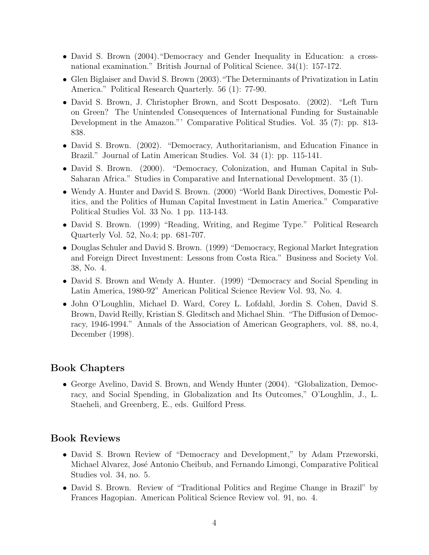- David S. Brown (2004). "Democracy and Gender Inequality in Education: a crossnational examination." British Journal of Political Science. 34(1): 157-172.
- Glen Biglaiser and David S. Brown (2003)."The Determinants of Privatization in Latin America." Political Research Quarterly. 56 (1): 77-90.
- David S. Brown, J. Christopher Brown, and Scott Desposato. (2002). "Left Turn on Green? The Unintended Consequences of International Funding for Sustainable Development in the Amazon."' Comparative Political Studies. Vol. 35 (7): pp. 813- 838.
- David S. Brown. (2002). "Democracy, Authoritarianism, and Education Finance in Brazil." Journal of Latin American Studies. Vol. 34 (1): pp. 115-141.
- David S. Brown. (2000). "Democracy, Colonization, and Human Capital in Sub-Saharan Africa." Studies in Comparative and International Development. 35 (1).
- Wendy A. Hunter and David S. Brown. (2000) "World Bank Directives, Domestic Politics, and the Politics of Human Capital Investment in Latin America." Comparative Political Studies Vol. 33 No. 1 pp. 113-143.
- David S. Brown. (1999) "Reading, Writing, and Regime Type." Political Research Quarterly Vol. 52, No.4; pp. 681-707.
- Douglas Schuler and David S. Brown. (1999) "Democracy, Regional Market Integration and Foreign Direct Investment: Lessons from Costa Rica." Business and Society Vol. 38, No. 4.
- David S. Brown and Wendy A. Hunter. (1999) "Democracy and Social Spending in Latin America, 1980-92" American Political Science Review Vol. 93, No. 4.
- John O'Loughlin, Michael D. Ward, Corey L. Lofdahl, Jordin S. Cohen, David S. Brown, David Reilly, Kristian S. Gleditsch and Michael Shin. "The Diffusion of Democracy, 1946-1994." Annals of the Association of American Geographers, vol. 88, no.4, December (1998).

# Book Chapters

• George Avelino, David S. Brown, and Wendy Hunter (2004). "Globalization, Democracy, and Social Spending, in Globalization and Its Outcomes," O'Loughlin, J., L. Staeheli, and Greenberg, E., eds. Guilford Press.

# Book Reviews

- David S. Brown Review of "Democracy and Development," by Adam Przeworski, Michael Alvarez, José Antonio Cheibub, and Fernando Limongi, Comparative Political Studies vol. 34, no. 5.
- David S. Brown. Review of "Traditional Politics and Regime Change in Brazil" by Frances Hagopian. American Political Science Review vol. 91, no. 4.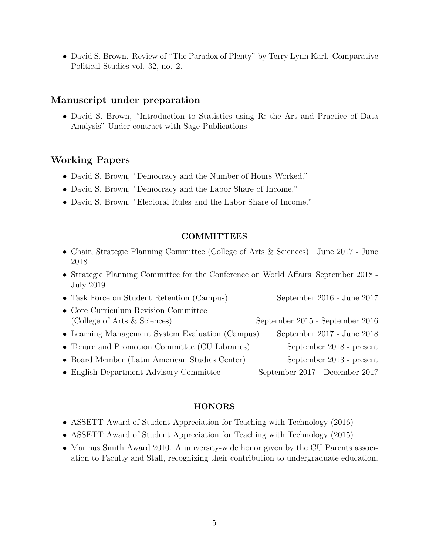• David S. Brown. Review of "The Paradox of Plenty" by Terry Lynn Karl. Comparative Political Studies vol. 32, no. 2.

## Manuscript under preparation

• David S. Brown, "Introduction to Statistics using R: the Art and Practice of Data Analysis" Under contract with Sage Publications

# Working Papers

- David S. Brown, "Democracy and the Number of Hours Worked."
- David S. Brown, "Democracy and the Labor Share of Income."
- David S. Brown, "Electoral Rules and the Labor Share of Income."

#### **COMMITTEES**

- Chair, Strategic Planning Committee (College of Arts & Sciences) June 2017 June 2018
- Strategic Planning Committee for the Conference on World Affairs September 2018 July 2019
- Task Force on Student Retention (Campus) September 2016 June 2017 • Core Curriculum Revision Committee (College of Arts & Sciences) September 2015 - September 2016 • Learning Management System Evaluation (Campus) September 2017 - June 2018 • Tenure and Promotion Committee (CU Libraries) September 2018 - present • Board Member (Latin American Studies Center) September 2013 - present • English Department Advisory Committee September 2017 - December 2017

#### HONORS

- ASSETT Award of Student Appreciation for Teaching with Technology (2016)
- ASSETT Award of Student Appreciation for Teaching with Technology (2015)
- Marinus Smith Award 2010. A university-wide honor given by the CU Parents association to Faculty and Staff, recognizing their contribution to undergraduate education.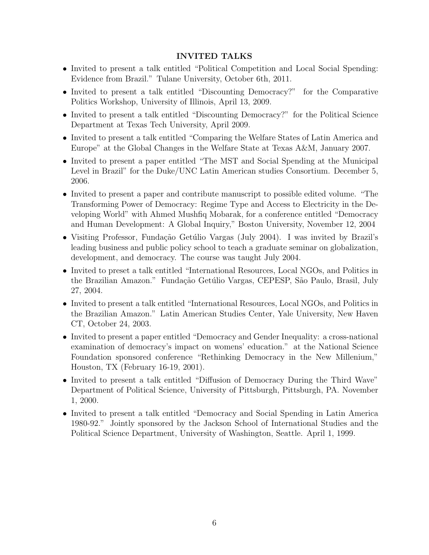## INVITED TALKS

- Invited to present a talk entitled "Political Competition and Local Social Spending: Evidence from Brazil." Tulane University, October 6th, 2011.
- Invited to present a talk entitled "Discounting Democracy?" for the Comparative Politics Workshop, University of Illinois, April 13, 2009.
- Invited to present a talk entitled "Discounting Democracy?" for the Political Science Department at Texas Tech University, April 2009.
- Invited to present a talk entitled "Comparing the Welfare States of Latin America and Europe" at the Global Changes in the Welfare State at Texas A&M, January 2007.
- Invited to present a paper entitled "The MST and Social Spending at the Municipal Level in Brazil" for the Duke/UNC Latin American studies Consortium. December 5, 2006.
- Invited to present a paper and contribute manuscript to possible edited volume. "The Transforming Power of Democracy: Regime Type and Access to Electricity in the Developing World" with Ahmed Mushfiq Mobarak, for a conference entitled "Democracy and Human Development: A Global Inquiry," Boston University, November 12, 2004
- Visiting Professor, Fundação Getúlio Vargas (July 2004). I was invited by Brazil's leading business and public policy school to teach a graduate seminar on globalization, development, and democracy. The course was taught July 2004.
- Invited to preset a talk entitled "International Resources, Local NGOs, and Politics in the Brazilian Amazon." Fundação Getúlio Vargas, CEPESP, São Paulo, Brasil, July 27, 2004.
- Invited to present a talk entitled "International Resources, Local NGOs, and Politics in the Brazilian Amazon." Latin American Studies Center, Yale University, New Haven CT, October 24, 2003.
- Invited to present a paper entitled "Democracy and Gender Inequality: a cross-national examination of democracy's impact on womens' education." at the National Science Foundation sponsored conference "Rethinking Democracy in the New Millenium," Houston, TX (February 16-19, 2001).
- Invited to present a talk entitled "Diffusion of Democracy During the Third Wave" Department of Political Science, University of Pittsburgh, Pittsburgh, PA. November 1, 2000.
- Invited to present a talk entitled "Democracy and Social Spending in Latin America 1980-92." Jointly sponsored by the Jackson School of International Studies and the Political Science Department, University of Washington, Seattle. April 1, 1999.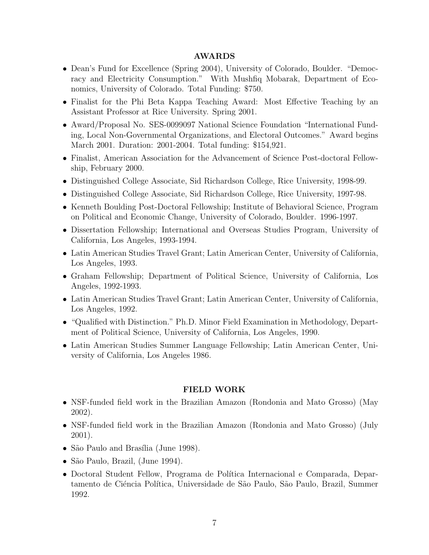#### AWARDS

- Dean's Fund for Excellence (Spring 2004), University of Colorado, Boulder. "Democracy and Electricity Consumption." With Mushfiq Mobarak, Department of Economics, University of Colorado. Total Funding: \$750.
- Finalist for the Phi Beta Kappa Teaching Award: Most Effective Teaching by an Assistant Professor at Rice University. Spring 2001.
- Award/Proposal No. SES-0099097 National Science Foundation "International Funding, Local Non-Governmental Organizations, and Electoral Outcomes." Award begins March 2001. Duration: 2001-2004. Total funding: \$154,921.
- Finalist, American Association for the Advancement of Science Post-doctoral Fellowship, February 2000.
- Distinguished College Associate, Sid Richardson College, Rice University, 1998-99.
- Distinguished College Associate, Sid Richardson College, Rice University, 1997-98.
- Kenneth Boulding Post-Doctoral Fellowship; Institute of Behavioral Science, Program on Political and Economic Change, University of Colorado, Boulder. 1996-1997.
- Dissertation Fellowship; International and Overseas Studies Program, University of California, Los Angeles, 1993-1994.
- Latin American Studies Travel Grant; Latin American Center, University of California, Los Angeles, 1993.
- Graham Fellowship; Department of Political Science, University of California, Los Angeles, 1992-1993.
- Latin American Studies Travel Grant; Latin American Center, University of California, Los Angeles, 1992.
- "Qualified with Distinction." Ph.D. Minor Field Examination in Methodology, Department of Political Science, University of California, Los Angeles, 1990.
- Latin American Studies Summer Language Fellowship; Latin American Center, University of California, Los Angeles 1986.

#### FIELD WORK

- NSF-funded field work in the Brazilian Amazon (Rondonia and Mato Grosso) (May 2002).
- NSF-funded field work in the Brazilian Amazon (Rondonia and Mato Grosso) (July 2001).
- São Paulo and Brasília (June 1998).
- São Paulo, Brazil, (June 1994).
- Doctoral Student Fellow, Programa de Política Internacional e Comparada, Departamento de Ciéncia Política, Universidade de São Paulo, São Paulo, Brazil, Summer 1992.